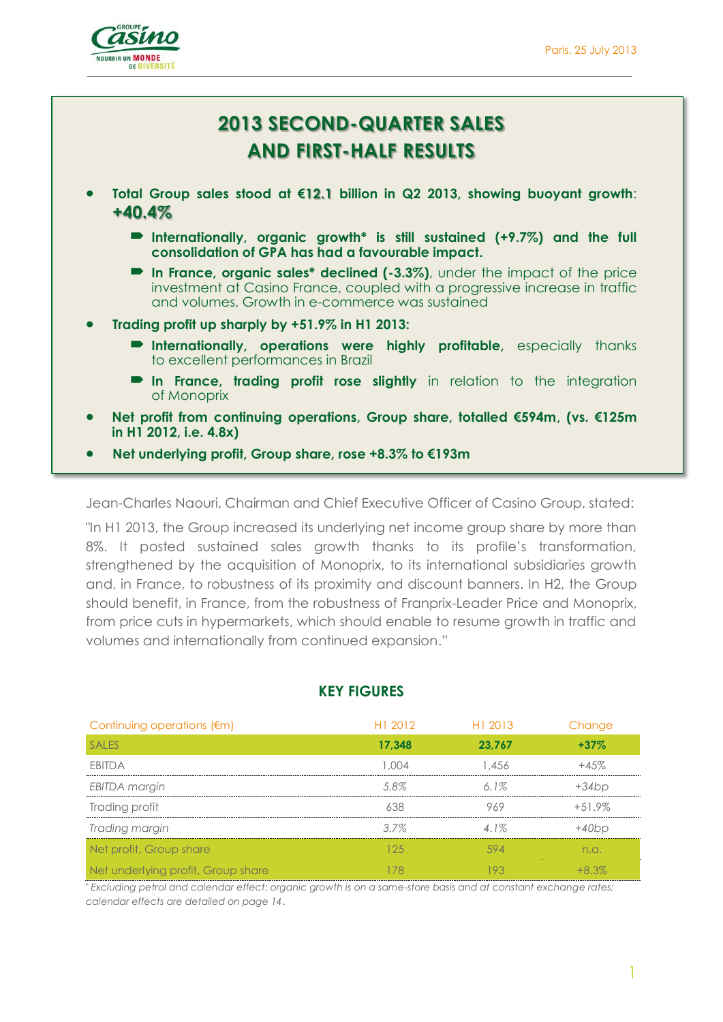

# **2013 SECOND-QUARTER SALES AND FIRST-HALF RESULTS**

- **Total Group sales stood at €12.1 billion in Q2 2013, showing buoyant growth**: **+40.4%**
	- **Internationally, organic growth\* is still sustained (+9.7%) and the full consolidation of GPA has had a favourable impact.**
	- **In France, organic sales\* declined (-3.3%)**, under the impact of the price investment at Casino France, coupled with a progressive increase in traffic and volumes. Growth in e-commerce was sustained
- **Trading profit up sharply by +51.9% in H1 2013:**
	- **Internationally, operations were highly profitable,** especially thanks to excellent performances in Brazil
	- **In France, trading profit rose slightly** in relation to the integration of Monoprix
- **Net profit from continuing operations, Group share, totalled €594m, (vs. €125m in H1 2012, i.e. 4.8x)**
- **Net underlying profit, Group share, rose +8.3% to €193m**

Jean-Charles Naouri, Chairman and Chief Executive Officer of Casino Group, stated:

"In H1 2013, the Group increased its underlying net income group share by more than 8%. It posted sustained sales growth thanks to its profile's transformation, strengthened by the acquisition of Monoprix, to its international subsidiaries growth and, in France, to robustness of its proximity and discount banners. In H2, the Group should benefit, in France, from the robustness of Franprix-Leader Price and Monoprix, from price cuts in hypermarkets, which should enable to resume growth in traffic and volumes and internationally from continued expansion."

| Continuing operations $(\epsilon m)$ | H1 2012 | H1 2013 | Change   |
|--------------------------------------|---------|---------|----------|
| <b>SALES</b>                         | 17,348  | 23,767  | $+37%$   |
| <b>FBITDA</b>                        | 1.004   | 1.456   | $+45%$   |
| <b>EBITDA</b> margin                 | 5.8%    | $6.1\%$ | $+34bp$  |
| Trading profit                       | 638     | 969     | $+51.9%$ |
| Trading margin                       | $3.7\%$ | 4.1%    | $+40bp$  |
| Net profit, Group share              | 125     | 594     | n.a.     |
| Net underlying profit, Group share   | 178     | 193     | $+8.3%$  |

#### **KEY FIGURES**

\* *Excluding petrol and calendar effect: organic growth is on a same-store basis and at constant exchange rates; calendar effects are detailed on page 14*.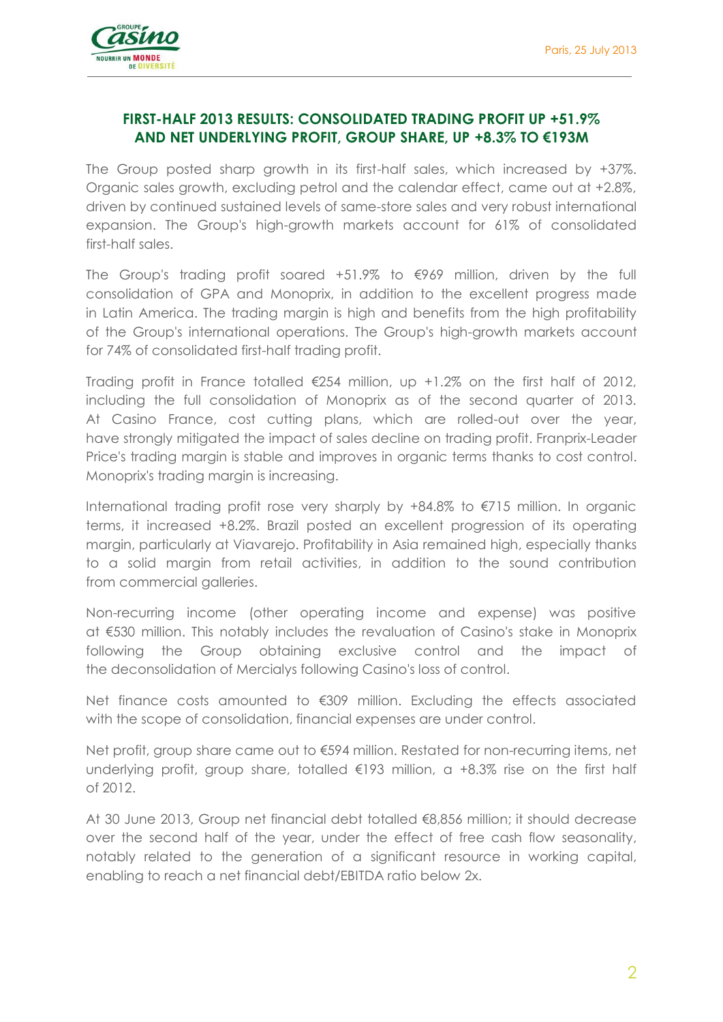

### **FIRST-HALF 2013 RESULTS: CONSOLIDATED TRADING PROFIT UP +51.9% AND NET UNDERLYING PROFIT, GROUP SHARE, UP +8.3% TO €193M**

The Group posted sharp growth in its first-half sales, which increased by +37%. Organic sales growth, excluding petrol and the calendar effect, came out at +2.8%, driven by continued sustained levels of same-store sales and very robust international expansion. The Group's high-growth markets account for 61% of consolidated first-half sales.

The Group's trading profit soared  $+51.9\%$  to  $\epsilon$ 969 million, driven by the full consolidation of GPA and Monoprix, in addition to the excellent progress made in Latin America. The trading margin is high and benefits from the high profitability of the Group's international operations. The Group's high-growth markets account for 74% of consolidated first-half trading profit.

Trading profit in France totalled  $\epsilon$ 254 million, up +1.2% on the first half of 2012, including the full consolidation of Monoprix as of the second quarter of 2013. At Casino France, cost cutting plans, which are rolled-out over the year, have strongly mitigated the impact of sales decline on trading profit. Franprix-Leader Price's trading margin is stable and improves in organic terms thanks to cost control. Monoprix's trading margin is increasing.

International trading profit rose very sharply by +84.8% to €715 million. In organic terms, it increased +8.2%. Brazil posted an excellent progression of its operating margin, particularly at Viavarejo. Profitability in Asia remained high, especially thanks to a solid margin from retail activities, in addition to the sound contribution from commercial galleries.

Non-recurring income (other operating income and expense) was positive at €530 million. This notably includes the revaluation of Casino's stake in Monoprix following the Group obtaining exclusive control and the impact of the deconsolidation of Mercialys following Casino's loss of control.

Net finance costs amounted to €309 million. Excluding the effects associated with the scope of consolidation, financial expenses are under control.

Net profit, group share came out to €594 million. Restated for non-recurring items, net underlying profit, group share, totalled  $\epsilon$ 193 million, a +8.3% rise on the first half of 2012.

At 30 June 2013, Group net financial debt totalled €8,856 million; it should decrease over the second half of the year, under the effect of free cash flow seasonality, notably related to the generation of a significant resource in working capital, enabling to reach a net financial debt/EBITDA ratio below 2x.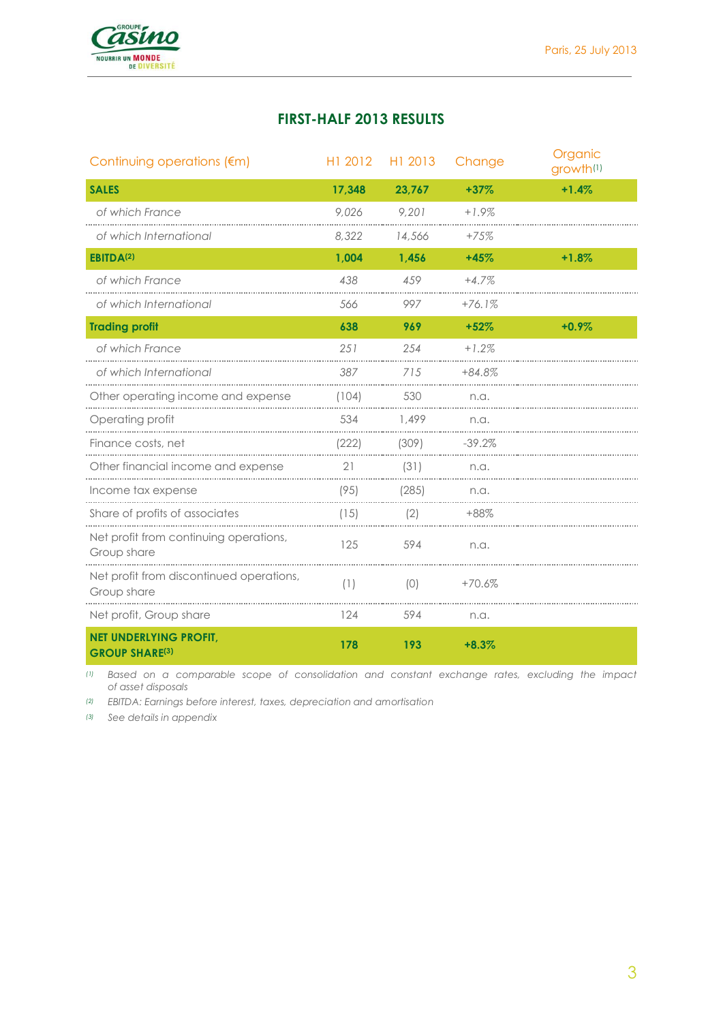

## **FIRST-HALF 2013 RESULTS**

| Continuing operations (€m)                              | H1 2012 | H1 2013 | Change   | Organic<br>growth <sup>(1)</sup> |
|---------------------------------------------------------|---------|---------|----------|----------------------------------|
| <b>SALES</b>                                            | 17,348  | 23,767  | $+37%$   | $+1.4%$                          |
| of which France                                         | 9,026   | 9,201   | $+1.9%$  |                                  |
| of which International                                  | 8,322   | 14,566  | $+75%$   |                                  |
| EBITDA <sup>(2)</sup>                                   | 1,004   | 1,456   | $+45%$   | $+1.8%$                          |
| of which France                                         | 438     | 459     | $+4.7%$  |                                  |
| of which International                                  | 566     | 997     | $+76.1%$ |                                  |
| <b>Trading profit</b>                                   | 638     | 969     | $+52%$   | $+0.9%$                          |
| of which France                                         | 251     | 254     | $+1.2%$  |                                  |
| of which International                                  | 387     | 715     | +84.8%   |                                  |
| Other operating income and expense                      | (104)   | 530     | n.a.     |                                  |
| Operating profit                                        | 534     | 1,499   | n.a.     |                                  |
| Finance costs, net                                      | (222)   | (309)   | $-39.2%$ |                                  |
| Other financial income and expense                      | 21      | (31)    | n.a.     |                                  |
| Income tax expense                                      | (95)    | (285)   | n.a.     |                                  |
| Share of profits of associates                          | (15)    | (2)     | $+88%$   |                                  |
| Net profit from continuing operations,<br>Group share   | 125     | 594     | n.a.     |                                  |
| Net profit from discontinued operations,<br>Group share | (1)     | (0)     | $+70.6%$ |                                  |
| Net profit, Group share                                 | 124     | 594     | n.a.     |                                  |
| <b>NET UNDERLYING PROFIT,</b><br><b>GROUP SHARE(3)</b>  | 178     | 193     | $+8.3%$  |                                  |

*(1) Based on a comparable scope of consolidation and constant exchange rates, excluding the impact of asset disposals* 

*(2) EBITDA: Earnings before interest, taxes, depreciation and amortisation*

*(3) See details in appendix*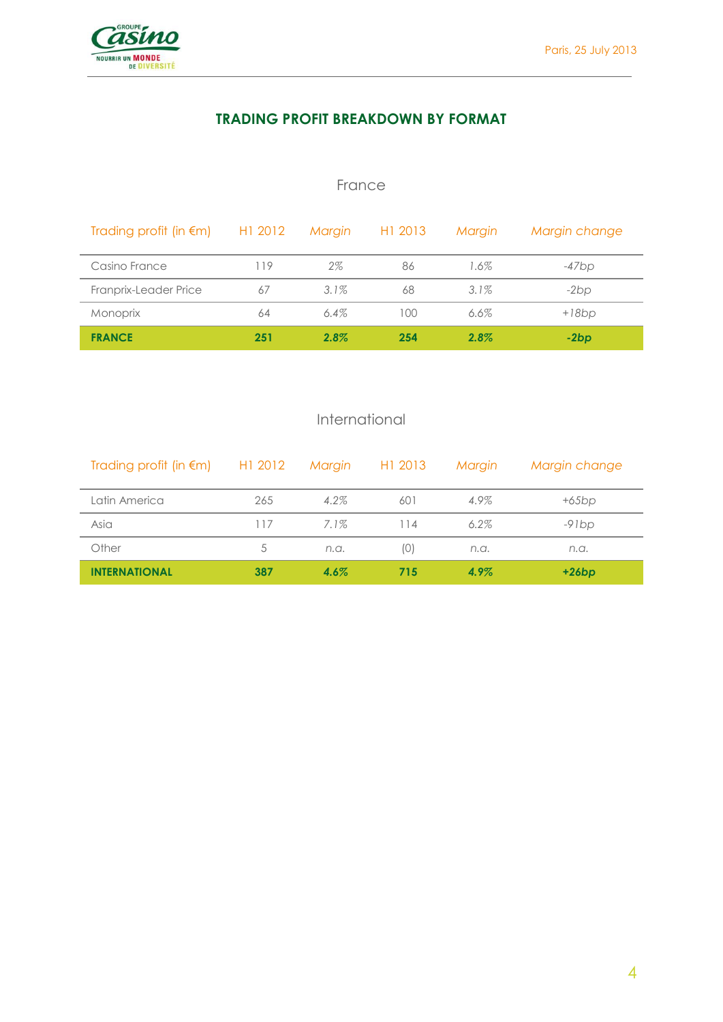

## **TRADING PROFIT BREAKDOWN BY FORMAT**

## France

| Trading profit (in $\epsilon$ m) H1 2012 |     | Margin  | H <sub>1</sub> 2013 | Margin  | Margin change |
|------------------------------------------|-----|---------|---------------------|---------|---------------|
| Casino France                            | 119 | 2%      | 86                  | 1.6%    | $-47bp$       |
| Franprix-Leader Price                    | 67  | $3.1\%$ | 68                  | $3.1\%$ | $-2bp$        |
| <b>Monoprix</b>                          | 64  | $6.4\%$ | 100                 | 6.6%    | $+18bp$       |
| <b>FRANCE</b>                            | 251 | $2.8\%$ | 254                 | $2.8\%$ | $-2bp$        |

## International

| Trading profit (in $\epsilon$ m) H1 2012 |     |         | Margin H1 2013 | Margin  | Margin change |
|------------------------------------------|-----|---------|----------------|---------|---------------|
| Latin America                            | 265 | $4.2\%$ | 601            | 4.9%    | $+65bp$       |
| Asia                                     | 117 | 7.1%    | 114            | $6.2\%$ | $-91bp$       |
| Other                                    | 5   | n.a.    | (0)            | n.a.    | n.a.          |
| <b>INTERNATIONAL</b>                     | 387 | $4.6\%$ | 715            | 4.9%    | $+26bp$       |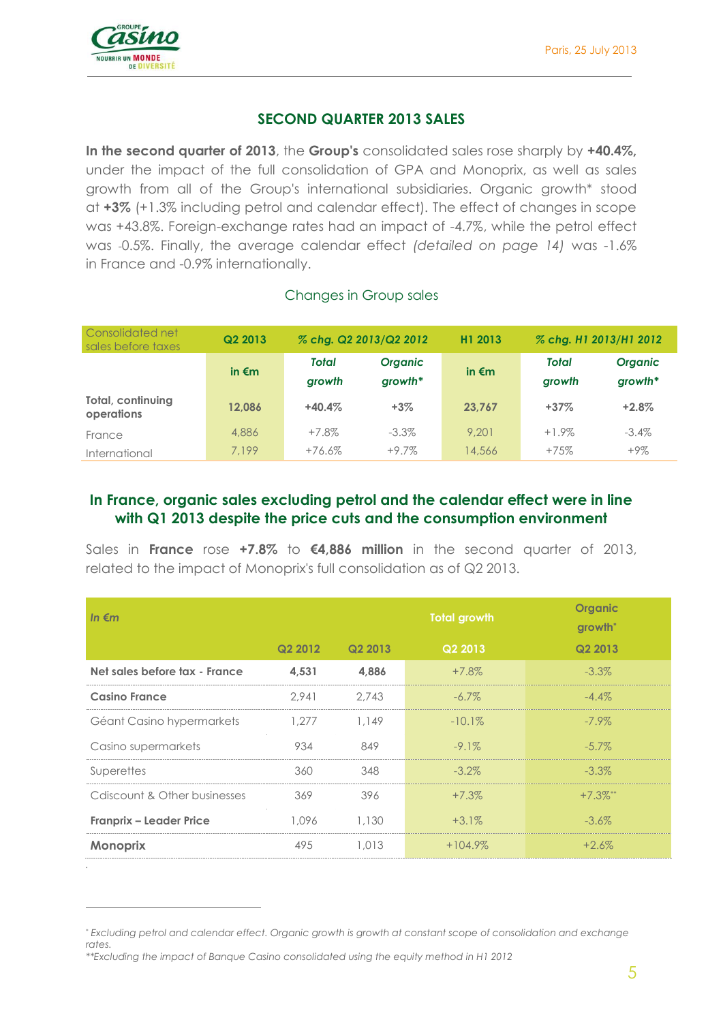

Consolidated net

*.*

 $\overline{a}$ 

## **SECOND QUARTER 2013 SALES**

**In the second quarter of 2013**, the **Group's** consolidated sales rose sharply by **+40.4%,**  under the impact of the full consolidation of GPA and Monoprix, as well as sales growth from all of the Group's international subsidiaries. Organic growth\* stood at **+3%** (+1.3% including petrol and calendar effect). The effect of changes in scope was +43.8%. Foreign-exchange rates had an impact of -4.7%, while the petrol effect was -0.5%. Finally, the average calendar effect *(detailed on page 14)* was -1.6% in France and -0.9% internationally.

#### Changes in Group sales

| <u>COLDUNIUM IN FI</u><br>sales before taxes | Q2 2013         | % chg. Q2 2013/Q2 2012 |                             | H1 2013         | % chg. H1 2013/H1 2012 |                             |  |
|----------------------------------------------|-----------------|------------------------|-----------------------------|-----------------|------------------------|-----------------------------|--|
|                                              | in $\epsilon$ m | <b>Total</b><br>growth | <b>Organic</b><br>$growth*$ | in $\epsilon$ m | <b>Total</b><br>growth | <b>Organic</b><br>$growth*$ |  |
| Total, continuing<br>operations              | 12.086          | $+40.4%$               | $+3%$                       | 23.767          | $+37%$                 | $+2.8%$                     |  |
| France                                       | 4,886           | $+7.8\%$               | $-3.3\%$                    | 9.201           | $+1.9\%$               | $-3.4\%$                    |  |
| International                                | 7.199           | $+76.6\%$              | $+9.7\%$                    | 4,566           | $+75%$                 | $+9\%$                      |  |

## **In France, organic sales excluding petrol and the calendar effect were in line with Q1 2013 despite the price cuts and the consumption environment**

Sales in **France** rose **+7.8%** to **€4,886 million** in the second quarter of 2013, related to the impact of Monoprix's full consolidation as of Q2 2013.

| In $\epsilon$ m                |         |         | <b>Total growth</b> | <b>Organic</b><br>growth <sup>*</sup> |
|--------------------------------|---------|---------|---------------------|---------------------------------------|
|                                | Q2 2012 | Q2 2013 | Q2 2013             | Q2 2013                               |
| Net sales before tax - France  | 4,531   | 4,886   | $+7.8\%$            | $-3.3\%$                              |
| <b>Casino France</b>           | 2.941   | 2.743   | $-6.7\%$            | $-4.4\%$                              |
| Géant Casino hypermarkets      | 1,277   | 1.149   | $-10.1%$            | $-7.9\%$                              |
| Casino supermarkets            | 934     | 849     | $-9.1\%$            | $-5.7\%$                              |
| Superettes                     | 360     | 348     | $-3.2\%$            | $-3.3\%$                              |
| Cdiscount & Other businesses   | 369     | 396     | $+7.3%$             | $+7.3\%$ **                           |
| <b>Franprix - Leader Price</b> | 1.096   | 1,130   | $+3.1\%$            | $-3.6\%$                              |
| <b>Monoprix</b>                | 495     | 1,013   | $+104.9%$           | $+2.6\%$                              |

<sup>\*</sup> *Excluding petrol and calendar effect. Organic growth is growth at constant scope of consolidation and exchange rates.* 

*<sup>\*\*</sup>Excluding the impact of Banque Casino consolidated using the equity method in H1 2012*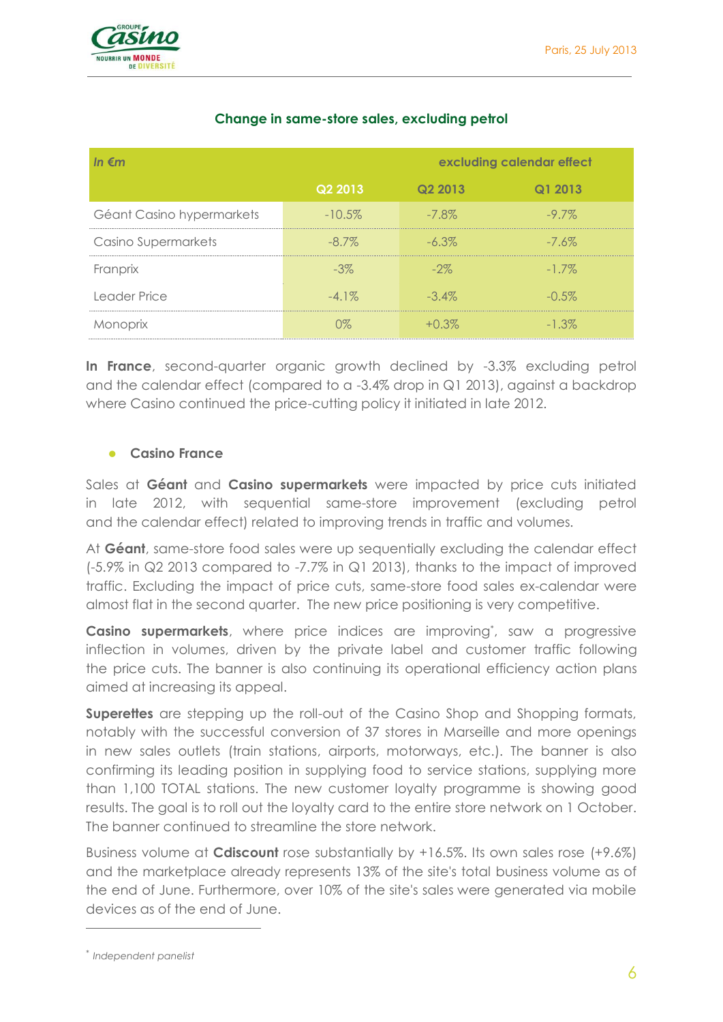

| In $\epsilon$ m            | excluding calendar effect |          |          |  |
|----------------------------|---------------------------|----------|----------|--|
|                            | Q2 2013                   | Q2 2013  | Q1 2013  |  |
| Géant Casino hypermarkets  | $-10.5\%$                 | $-7.8\%$ | $-9.7\%$ |  |
| <b>Casino Supermarkets</b> | $-8.7\%$                  | $-6.3\%$ | $-7.6\%$ |  |
| Franprix                   | $-3\%$                    | $-2\%$   | $-1.7\%$ |  |
| Leader Price               | $-4.1\%$                  | $-3.4\%$ | $-0.5\%$ |  |
| Monoprix                   | 0%                        | $+0.3\%$ | $-1.3\%$ |  |

## **Change in same-store sales, excluding petrol**

**In France**, second-quarter organic growth declined by -3.3% excluding petrol and the calendar effect (compared to a -3.4% drop in Q1 2013), against a backdrop where Casino continued the price-cutting policy it initiated in late 2012.

#### **Casino France**

Sales at **Géant** and **Casino supermarkets** were impacted by price cuts initiated in late 2012, with sequential same-store improvement (excluding petrol and the calendar effect) related to improving trends in traffic and volumes.

At **Géant**, same-store food sales were up sequentially excluding the calendar effect (-5.9% in Q2 2013 compared to -7.7% in Q1 2013), thanks to the impact of improved traffic. Excluding the impact of price cuts, same-store food sales ex-calendar were almost flat in the second quarter. The new price positioning is very competitive.

**Casino supermarkets**, where price indices are improving<sup>\*</sup>, saw a progressive inflection in volumes, driven by the private label and customer traffic following the price cuts. The banner is also continuing its operational efficiency action plans aimed at increasing its appeal.

**Superettes** are stepping up the roll-out of the Casino Shop and Shopping formats, notably with the successful conversion of 37 stores in Marseille and more openings in new sales outlets (train stations, airports, motorways, etc.). The banner is also confirming its leading position in supplying food to service stations, supplying more than 1,100 TOTAL stations. The new customer loyalty programme is showing good results. The goal is to roll out the loyalty card to the entire store network on 1 October. The banner continued to streamline the store network.

Business volume at **Cdiscount** rose substantially by +16.5%. Its own sales rose (+9.6%) and the marketplace already represents 13% of the site's total business volume as of the end of June. Furthermore, over 10% of the site's sales were generated via mobile devices as of the end of June.

 $\overline{a}$ 

<sup>\*</sup> *Independent panelist*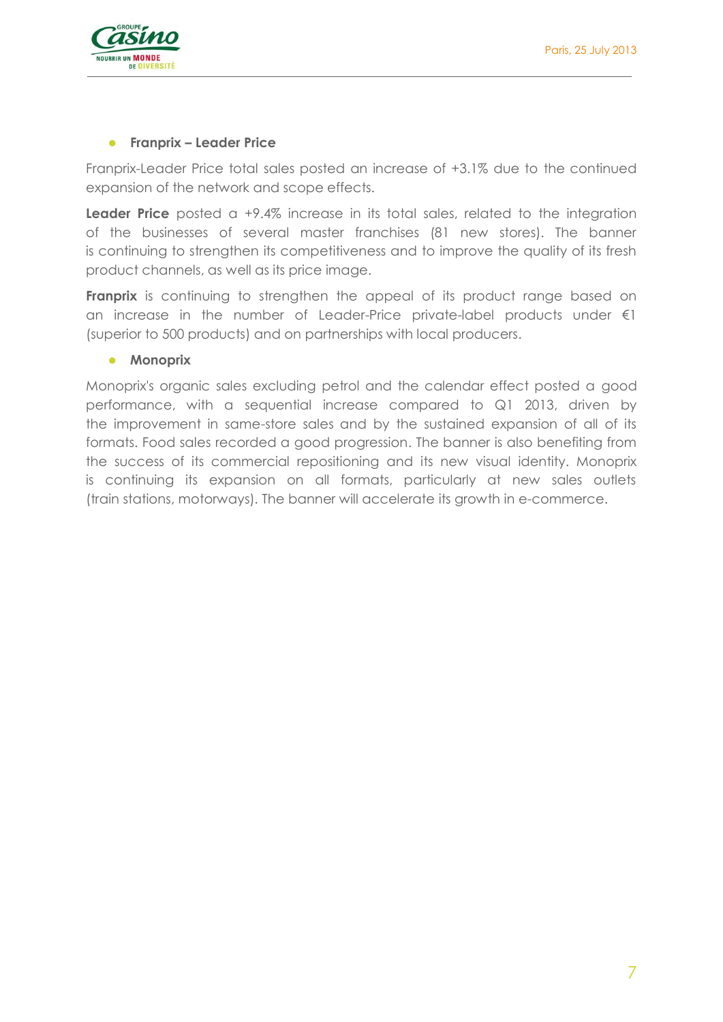



#### **Franprix – Leader Price**

Franprix-Leader Price total sales posted an increase of +3.1% due to the continued expansion of the network and scope effects.

**Leader Price** posted a +9.4% increase in its total sales, related to the integration of the businesses of several master franchises (81 new stores). The banner is continuing to strengthen its competitiveness and to improve the quality of its fresh product channels, as well as its price image.

**Franprix** is continuing to strengthen the appeal of its product range based on an increase in the number of Leader-Price private-label products under €1 (superior to 500 products) and on partnerships with local producers.

#### **•** Monoprix

Monoprix's organic sales excluding petrol and the calendar effect posted a good performance, with a sequential increase compared to Q1 2013, driven by the improvement in same-store sales and by the sustained expansion of all of its formats. Food sales recorded a good progression. The banner is also benefiting from the success of its commercial repositioning and its new visual identity. Monoprix is continuing its expansion on all formats, particularly at new sales outlets (train stations, motorways). The banner will accelerate its growth in e-commerce.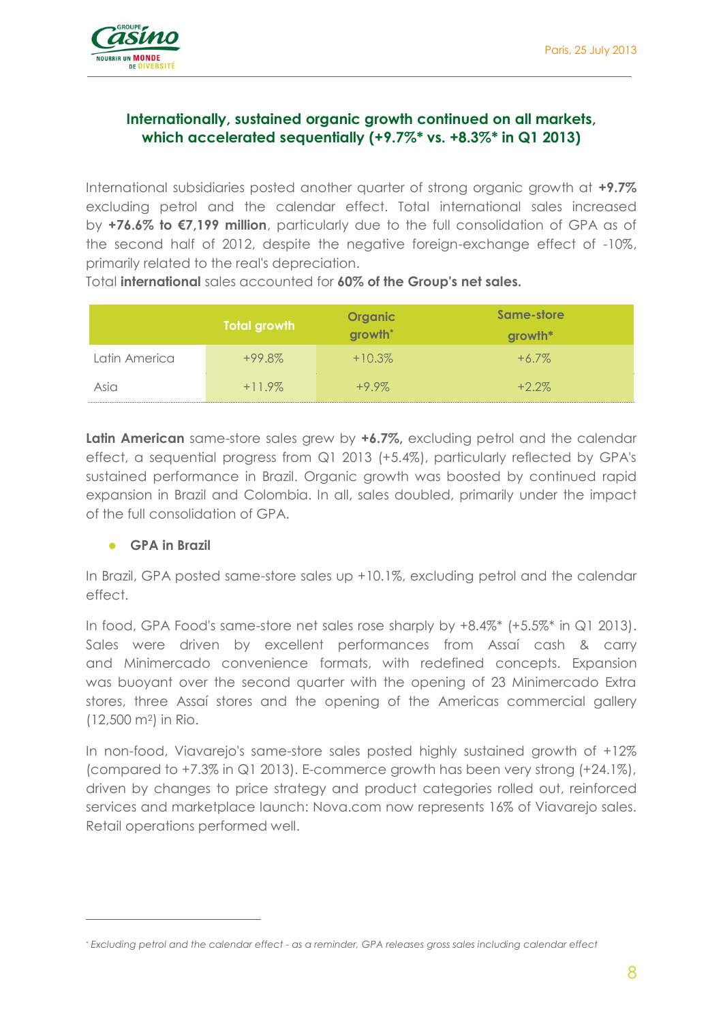

## **Internationally, sustained organic growth continued on all markets, which accelerated sequentially (+9.7%\* vs. +8.3%\* in Q1 2013)**

International subsidiaries posted another quarter of strong organic growth at **+9.7%** excluding petrol and the calendar effect. Total international sales increased by **+76.6% to €7,199 million**, particularly due to the full consolidation of GPA as of the second half of 2012, despite the negative foreign-exchange effect of -10%, primarily related to the real's depreciation.

|               | <b>Total growth</b> | <b>Organic</b><br>growth <sup>*</sup> | Same-store<br>growth* |
|---------------|---------------------|---------------------------------------|-----------------------|
| Latin America | $+99.8\%$           | $+10.3%$                              | $+6.7\%$              |
| Asia          | $+11.9\%$           | $+9.9\%$                              | $+2.2\%$              |

Total **international** sales accounted for **60% of the Group's net sales.**

**Latin American** same-store sales grew by **+6.7%,** excluding petrol and the calendar effect, a sequential progress from Q1 2013 (+5.4%), particularly reflected by GPA's sustained performance in Brazil. Organic growth was boosted by continued rapid expansion in Brazil and Colombia. In all, sales doubled, primarily under the impact of the full consolidation of GPA.

#### **GPA in Brazil**

 $\overline{a}$ 

In Brazil, GPA posted same-store sales up +10.1%, excluding petrol and the calendar effect.

In food, GPA Food's same-store net sales rose sharply by +8.4%\* (+5.5%\* in Q1 2013). Sales were driven by excellent performances from Assaí cash & carry and Minimercado convenience formats, with redefined concepts. Expansion was buoyant over the second quarter with the opening of 23 Minimercado Extra stores, three Assaí stores and the opening of the Americas commercial gallery (12,500 m2) in Rio.

In non-food, Viavarejo's same-store sales posted highly sustained growth of +12% (compared to +7.3% in Q1 2013). E-commerce growth has been very strong (+24.1%), driven by changes to price strategy and product categories rolled out, reinforced services and marketplace launch: Nova.com now represents 16% of Viavarejo sales. Retail operations performed well.

*<sup>\*</sup> Excluding petrol and the calendar effect - as a reminder, GPA releases gross sales including calendar effect*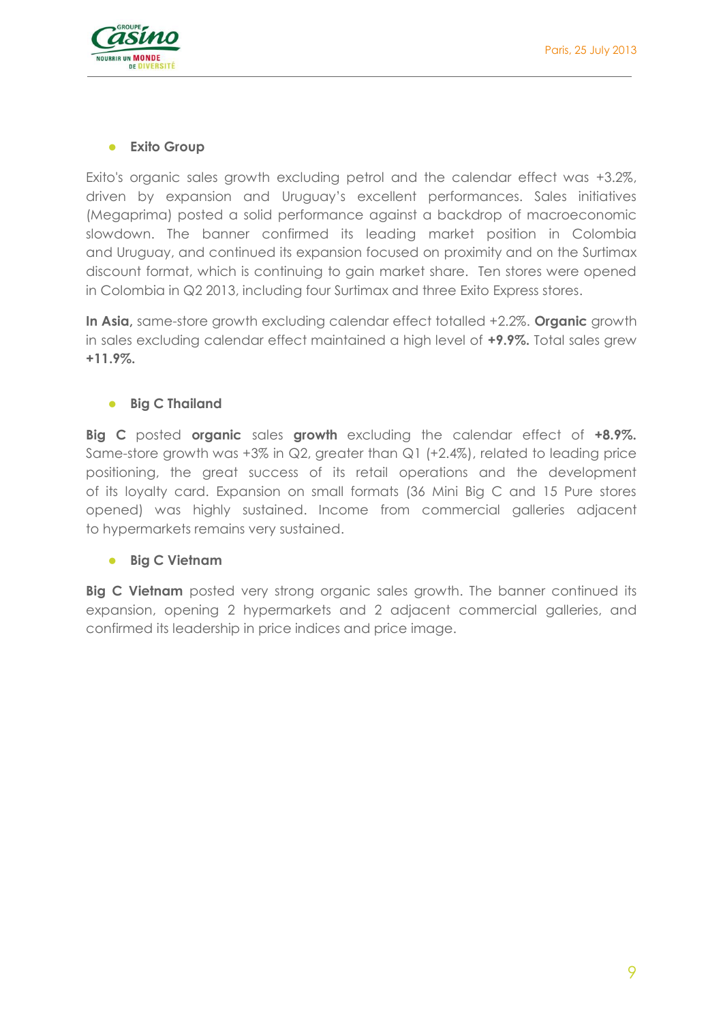## **Exito Group**

Exito's organic sales growth excluding petrol and the calendar effect was +3.2%, driven by expansion and Uruguay's excellent performances. Sales initiatives (Megaprima) posted a solid performance against a backdrop of macroeconomic slowdown. The banner confirmed its leading market position in Colombia and Uruguay, and continued its expansion focused on proximity and on the Surtimax discount format, which is continuing to gain market share. Ten stores were opened in Colombia in Q2 2013, including four Surtimax and three Exito Express stores.

**In Asia,** same-store growth excluding calendar effect totalled +2.2%. **Organic** growth in sales excluding calendar effect maintained a high level of **+9.9%.** Total sales grew **+11.9%.**

## **•** Big C Thailand

**Big C** posted **organic** sales **growth** excluding the calendar effect of **+8.9%.** Same-store growth was +3% in Q2, greater than Q1 (+2.4%), related to leading price positioning, the great success of its retail operations and the development of its loyalty card. Expansion on small formats (36 Mini Big C and 15 Pure stores opened) was highly sustained. Income from commercial galleries adjacent to hypermarkets remains very sustained.

#### **Big C Vietnam**

**Big C Vietnam** posted very strong organic sales growth. The banner continued its expansion, opening 2 hypermarkets and 2 adjacent commercial galleries, and confirmed its leadership in price indices and price image.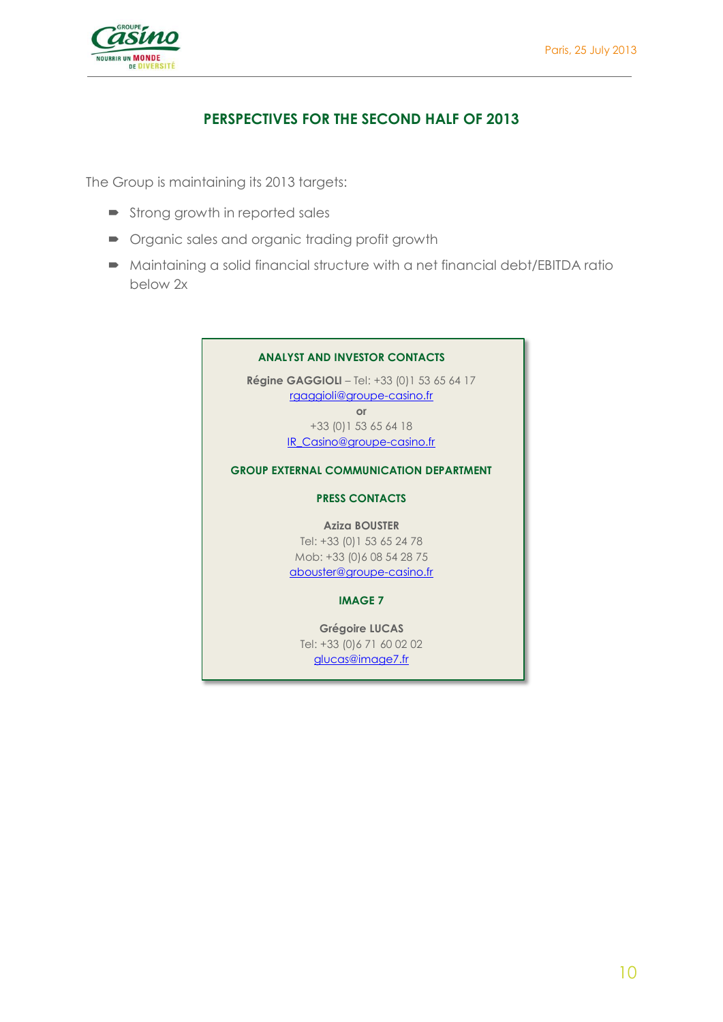

## **PERSPECTIVES FOR THE SECOND HALF OF 2013**

The Group is maintaining its 2013 targets:

- **Strong growth in reported sales**
- **•** Organic sales and organic trading profit growth
- Maintaining a solid financial structure with a net financial debt/EBITDA ratio below 2x

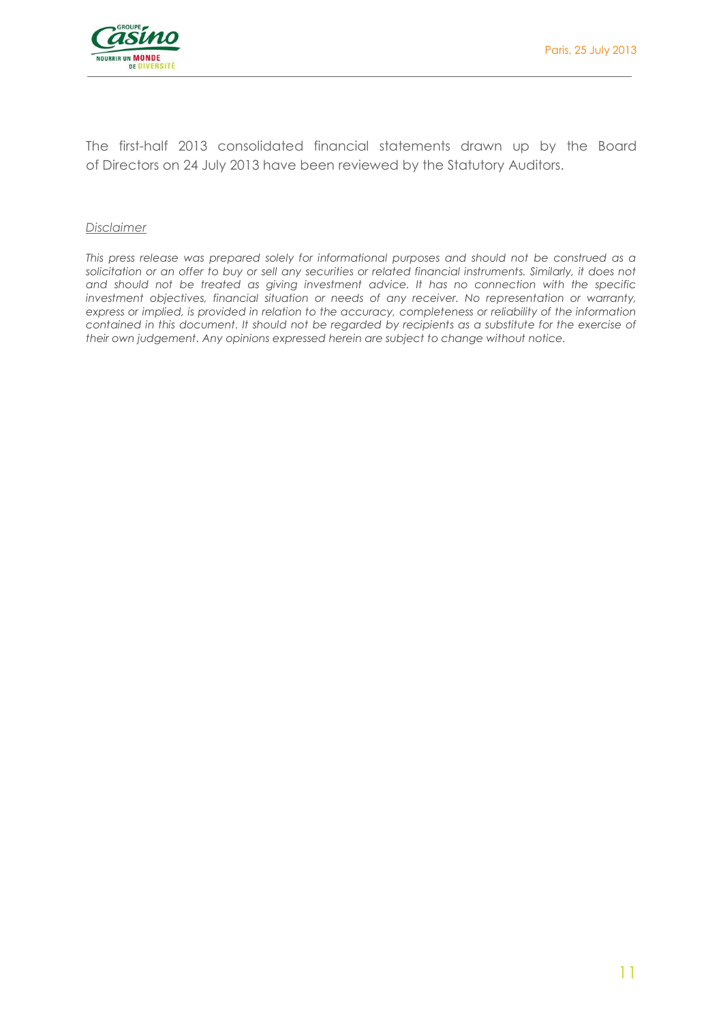

The first-half 2013 consolidated financial statements drawn up by the Board of Directors on 24 July 2013 have been reviewed by the Statutory Auditors.

#### *Disclaimer*

*This press release was prepared solely for informational purposes and should not be construed as a*  solicitation or an offer to buy or sell any securities or related financial instruments. Similarly, it does not *and should not be treated as giving investment advice. It has no connection with the specific investment objectives, financial situation or needs of any receiver. No representation or warranty, express or implied, is provided in relation to the accuracy, completeness or reliability of the information contained in this document. It should not be regarded by recipients as a substitute for the exercise of their own judgement. Any opinions expressed herein are subject to change without notice.*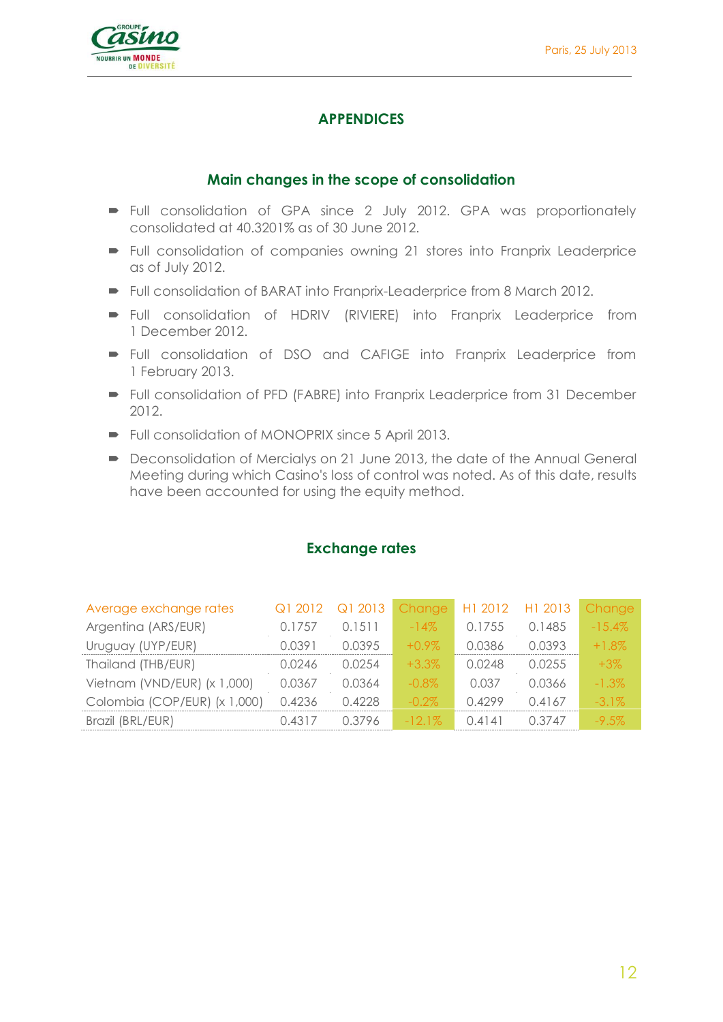

## **APPENDICES**

## **Main changes in the scope of consolidation**

- Full consolidation of GPA since 2 July 2012. GPA was proportionately consolidated at 40.3201% as of 30 June 2012.
- Full consolidation of companies owning 21 stores into Franprix Leaderprice as of July 2012.
- Full consolidation of BARAT into Franprix-Leaderprice from 8 March 2012.
- Full consolidation of HDRIV (RIVIERE) into Franprix Leaderprice from 1 December 2012.
- Full consolidation of DSO and CAFIGE into Franprix Leaderprice from 1 February 2013.
- Full consolidation of PFD (FABRE) into Franprix Leaderprice from 31 December 2012.
- Full consolidation of MONOPRIX since 5 April 2013.
- Deconsolidation of Mercialys on 21 June 2013, the date of the Annual General Meeting during which Casino's loss of control was noted. As of this date, results have been accounted for using the equity method.

| Average exchange rates       | Q1 2012 | Q1 2013 | Change    | H1 2012 | H1 2013 | Change    |
|------------------------------|---------|---------|-----------|---------|---------|-----------|
| Argentina (ARS/EUR)          | 0.1757  | 0.1511  | $-14\%$   | 0.1755  | 0.1485  | $-15.4\%$ |
| Uruguay (UYP/EUR)            | 0.0391  | 0.0395  | $+0.9\%$  | 0.0386  | 0.0393  | $+1.8\%$  |
| Thailand (THB/EUR)           | 0.0246  | 0.0254  | $+3.3%$   | 0.0248  | 0.0255  | $+3\%$    |
| Vietnam (VND/EUR) (x 1,000)  | 0.0367  | 0.0364  | $-0.8\%$  | 0.037   | 0.0366  | $-1.3\%$  |
| Colombia (COP/EUR) (x 1,000) | 0.4236  | 0.4228  | $-0.2\%$  | 0.4299  | 0.4167  | $-3.1\%$  |
| Brazil (BRL/EUR)             | 0.4317  | 0.3796  | $-12.1\%$ | 0.4141  | 0.3747  | $-9.5\%$  |

## **Exchange rates**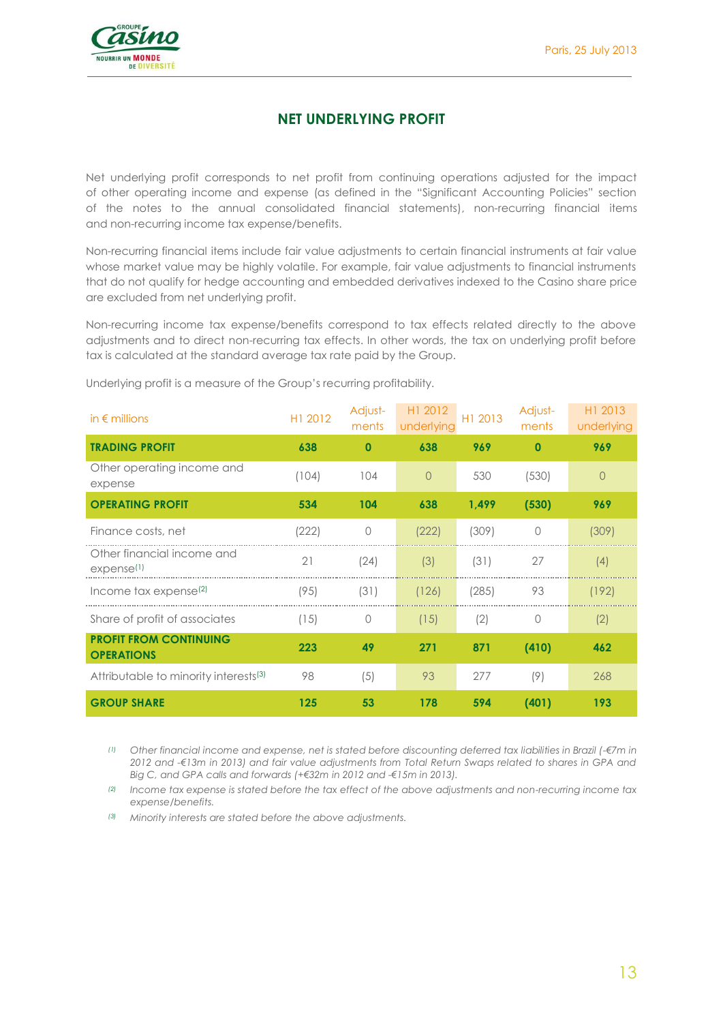

## **NET UNDERLYING PROFIT**

Net underlying profit corresponds to net profit from continuing operations adjusted for the impact of other operating income and expense (as defined in the "Significant Accounting Policies" section of the notes to the annual consolidated financial statements), non-recurring financial items and non-recurring income tax expense/benefits.

Non-recurring financial items include fair value adjustments to certain financial instruments at fair value whose market value may be highly volatile. For example, fair value adjustments to financial instruments that do not qualify for hedge accounting and embedded derivatives indexed to the Casino share price are excluded from net underlying profit.

Non-recurring income tax expense/benefits correspond to tax effects related directly to the above adjustments and to direct non-recurring tax effects. In other words, the tax on underlying profit before tax is calculated at the standard average tax rate paid by the Group.

| in $\epsilon$ millions                               | H1 2012 | Adjust-<br>ments | H1 2012<br>underlying | H1 2013 | Adjust-<br>ments | H1 2013<br>underlying |
|------------------------------------------------------|---------|------------------|-----------------------|---------|------------------|-----------------------|
| <b>TRADING PROFIT</b>                                | 638     | $\mathbf 0$      | 638                   | 969     | O                | 969                   |
| Other operating income and<br>expense                | (104)   | 104              | $\Omega$              | 530     | (530)            | $\bigcap$             |
| <b>OPERATING PROFIT</b>                              | 534     | 104              | 638                   | 1,499   | (530)            | 969                   |
| Finance costs, net                                   | (222)   | $\Omega$         | (222)                 | (309)   | 0                | (309)                 |
| Other financial income and<br>expense <sup>(1)</sup> | 21      | (24)             | (3)                   | (31)    | 27               | (4)                   |
| Income tax expense <sup>(2)</sup>                    | (95)    | (31)             | (126)                 | (285)   | 93               | (192)                 |
| Share of profit of associates                        | (15)    | 0                | (15)                  | (2)     | 0                | (2)                   |
| <b>PROFIT FROM CONTINUING</b><br><b>OPERATIONS</b>   | 223     | 49               | 271                   | 871     | (410)            | 462                   |
| Attributable to minority interests <sup>(3)</sup>    | 98      | (5)              | 93                    | 277     | (9)              | 268                   |
| <b>GROUP SHARE</b>                                   | 125     | 53               | 178                   | 594     | (401)            | 193                   |

Underlying profit is a measure of the Group's recurring profitability.

*(1) Other financial income and expense, net is stated before discounting deferred tax liabilities in Brazil (-€7m in 2012 and -€13m in 2013) and fair value adjustments from Total Return Swaps related to shares in GPA and Big C, and GPA calls and forwards (+€32m in 2012 and -€15m in 2013).*

*(2) Income tax expense is stated before the tax effect of the above adjustments and non-recurring income tax expense/benefits.*

*(3) Minority interests are stated before the above adjustments.*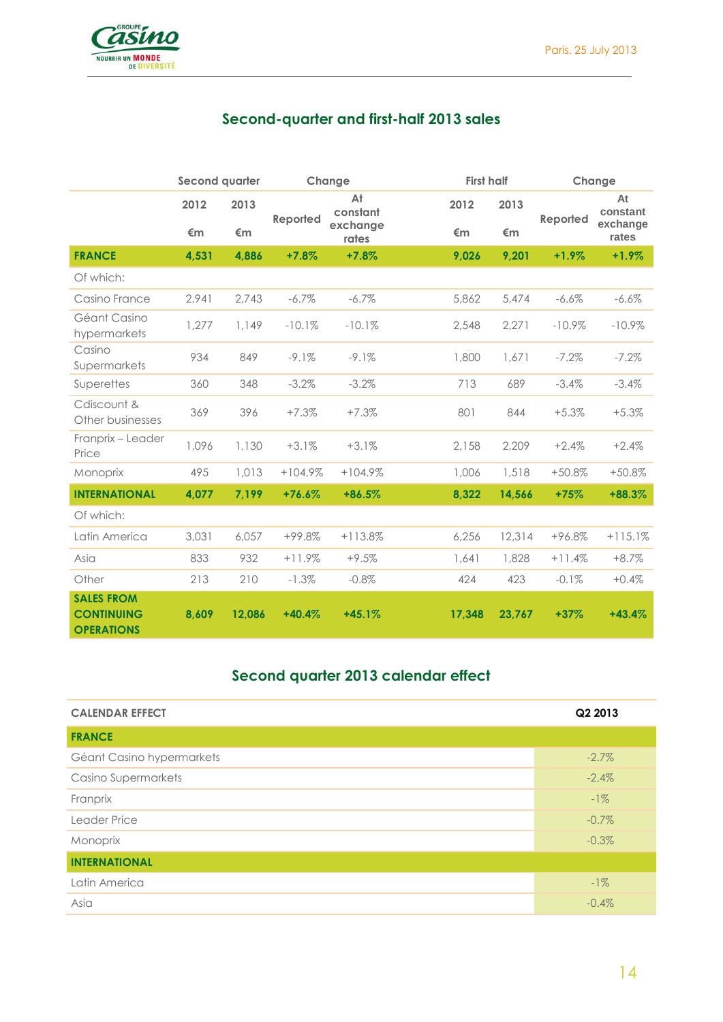

## **Second-quarter and first-half 2013 sales**

|                                                             | <b>Second quarter</b> |        |           | Change            |        | <b>First half</b><br>Change |          |                   |  |
|-------------------------------------------------------------|-----------------------|--------|-----------|-------------------|--------|-----------------------------|----------|-------------------|--|
|                                                             | 2012                  | 2013   | Reported  | At<br>constant    | 2012   | 2013<br>Reported            |          | At<br>constant    |  |
|                                                             | €m                    | €m     |           | exchange<br>rates | €m     | €m                          |          | exchange<br>rates |  |
| <b>FRANCE</b>                                               | 4,531                 | 4,886  | $+7.8%$   | $+7.8%$           | 9,026  | 9,201                       | $+1.9%$  | $+1.9%$           |  |
| Of which:                                                   |                       |        |           |                   |        |                             |          |                   |  |
| Casino France                                               | 2,941                 | 2,743  | $-6.7\%$  | $-6.7\%$          | 5,862  | 5,474                       | $-6.6%$  | $-6.6%$           |  |
| Géant Casino<br>hypermarkets                                | 1,277                 | 1,149  | $-10.1%$  | $-10.1%$          | 2,548  | 2,271                       | $-10.9%$ | $-10.9%$          |  |
| Casino<br>Supermarkets                                      | 934                   | 849    | $-9.1%$   | $-9.1%$           | 1,800  | 1,671                       | $-7.2%$  | $-7.2%$           |  |
| Superettes                                                  | 360                   | 348    | $-3.2%$   | $-3.2%$           | 713    | 689                         | $-3.4%$  | $-3.4\%$          |  |
| Cdiscount &<br>Other businesses                             | 369                   | 396    | $+7.3%$   | $+7.3%$           | 801    | 844                         | $+5.3%$  | $+5.3%$           |  |
| Franprix - Leader<br>Price                                  | 1,096                 | 1,130  | $+3.1%$   | $+3.1%$           | 2,158  | 2,209                       | $+2.4%$  | $+2.4%$           |  |
| Monoprix                                                    | 495                   | 1,013  | $+104.9%$ | $+104.9%$         | 1,006  | 1,518                       | $+50.8%$ | $+50.8%$          |  |
| <b>INTERNATIONAL</b>                                        | 4,077                 | 7,199  | $+76.6%$  | $+86.5%$          | 8,322  | 14,566                      | $+75%$   | $+88.3%$          |  |
| Of which:                                                   |                       |        |           |                   |        |                             |          |                   |  |
| Latin America                                               | 3,031                 | 6,057  | $+99.8%$  | $+113.8%$         | 6,256  | 12,314                      | +96.8%   | $+115.1%$         |  |
| Asia                                                        | 833                   | 932    | $+11.9%$  | $+9.5%$           | 1.641  | 1,828                       | $+11.4%$ | $+8.7%$           |  |
| Other                                                       | 213                   | 210    | $-1.3%$   | $-0.8%$           | 424    | 423                         | $-0.1%$  | $+0.4%$           |  |
| <b>SALES FROM</b><br><b>CONTINUING</b><br><b>OPERATIONS</b> | 8,609                 | 12.086 | $+40.4%$  | $+45.1%$          | 17,348 | 23,767                      | $+37%$   | $+43.4%$          |  |

## **Second quarter 2013 calendar effect**

| <b>CALENDAR EFFECT</b>    | Q2 2013  |
|---------------------------|----------|
| <b>FRANCE</b>             |          |
| Géant Casino hypermarkets | $-2.7\%$ |
| Casino Supermarkets       | $-2.4%$  |
| Franprix                  | $-1\%$   |
| Leader Price              | $-0.7\%$ |
| Monoprix                  | $-0.3%$  |
| <b>INTERNATIONAL</b>      |          |
| Latin America             | $-1\%$   |
| Asia                      | $-0.4%$  |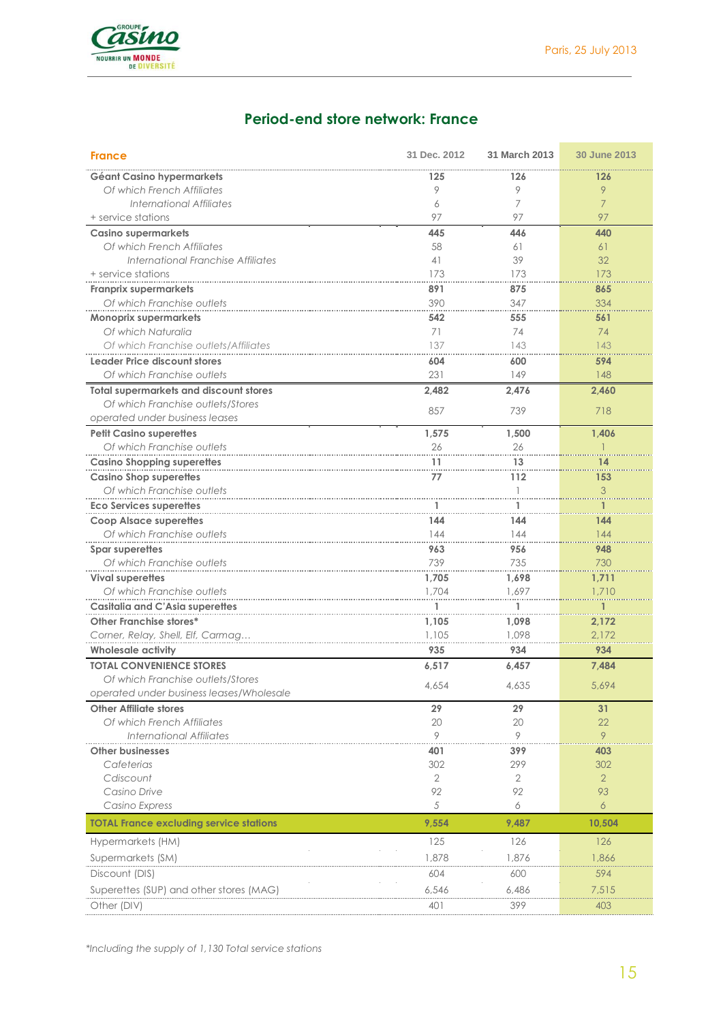

## **Period-end store network: France**

| <b>France</b>                                                       | 31 Dec. 2012 | 31 March 2013 | 30 June 2013   |
|---------------------------------------------------------------------|--------------|---------------|----------------|
| Géant Casino hypermarkets                                           | 125          | 126           | 126            |
| Of which French Affiliates                                          | 9            | 9             | 9              |
| <b>International Affiliates</b>                                     | 6            | 7             | $\overline{7}$ |
| + service stations                                                  | 97           | 97            | 97             |
| <b>Casino supermarkets</b>                                          | 445          | 446           | 440            |
| Of which French Affiliates                                          | 58           | 61            | 61             |
| International Franchise Affiliates                                  | 41           | 39            | 32             |
| + service stations                                                  | 173          | 173           | 173            |
| <b>Franprix supermarkets</b>                                        | 891          | 875           | 865            |
| Of which Franchise outlets                                          | 390          | 347           | 334            |
| <b>Monoprix supermarkets</b>                                        | 542          | 555           | 561            |
| Of which Naturalia                                                  | 71           | 74            | 74             |
| Of which Franchise outlets/Affiliates                               | 137          | 143           | 143            |
| <b>Leader Price discount stores</b>                                 | 604          | 600           | 594            |
| Of which Franchise outlets                                          | 231          | 149           | 148            |
| <b>Total supermarkets and discount stores</b>                       | 2,482        | 2,476         | 2,460          |
| Of which Franchise outlets/Stores<br>operated under business leases | 857          | 739           | 718            |
| <b>Petit Casino superettes</b>                                      | 1,575        | 1,500         | 1,406          |
| Of which Franchise outlets                                          | 26           | 26            |                |
| <b>Casino Shopping superettes</b>                                   | 11           | 13            | 14             |
| <b>Casino Shop superettes</b>                                       | 77           | 112           | 153            |
| Of which Franchise outlets                                          |              | 1             | 3              |
| <b>Eco Services superettes</b>                                      |              | 1             |                |
| <b>Coop Alsace superettes</b>                                       | 144          | 144           | 144            |
| Of which Franchise outlets                                          | 144          | 144           | 144            |
| Spar superettes                                                     | 963          | 956           | 948            |
| Of which Franchise outlets                                          | 739          | 735           | 730            |
| <b>Vival superettes</b>                                             | 1,705        | 1,698         | 1,711          |
| Of which Franchise outlets                                          | 1,704        | 1,697         | 1,710          |
| <b>Casitalia and C'Asia superettes</b>                              |              | 1             |                |
| Other Franchise stores*                                             | 1,105        | 1,098         | 2,172          |
| Corner, Relay, Shell, Elf, Carmag                                   | 1,105        | 1,098         | 2,172          |
| <b>Wholesale activity</b>                                           | 935          | 934           | 934            |
| <b>TOTAL CONVENIENCE STORES</b>                                     |              |               |                |
| Of which Franchise outlets/Stores                                   | 6,517        | 6,457         | 7,484          |
| operated under business leases/Wholesale                            | 4.654        | 4,635         | 5.694          |
| <b>Other Affiliate stores</b>                                       | 29           | 29            | 31             |
| Of which French Affiliates                                          | 20           | 20            | 22             |
| <b>International Affiliates</b>                                     | 9            | 9             | 9              |
| <b>Other businesses</b>                                             | 401          | 399           | 403            |
| Cafeterias                                                          | 302          | 299           | 302            |
| Cdiscount                                                           | $\mathbf{2}$ | 2             | $\overline{2}$ |
| Casino Drive                                                        | 92           | 92            | 93             |
| Casino Express                                                      | 5            | 6             | 6              |
| <b>TOTAL France excluding service stations</b>                      | 9,554        | 9,487         | 10,504         |
| Hypermarkets (HM)                                                   | 125          | 126           | 126            |
| Supermarkets (SM)                                                   | 1,878        | 1,876         | 1,866          |
| Discount (DIS)                                                      | 604          | 600           | 594            |
|                                                                     |              |               |                |
| Superettes (SUP) and other stores (MAG)                             | 6,546        | 6,486         | 7,515          |
| Other (DIV)                                                         | 401          | 399           | 403            |